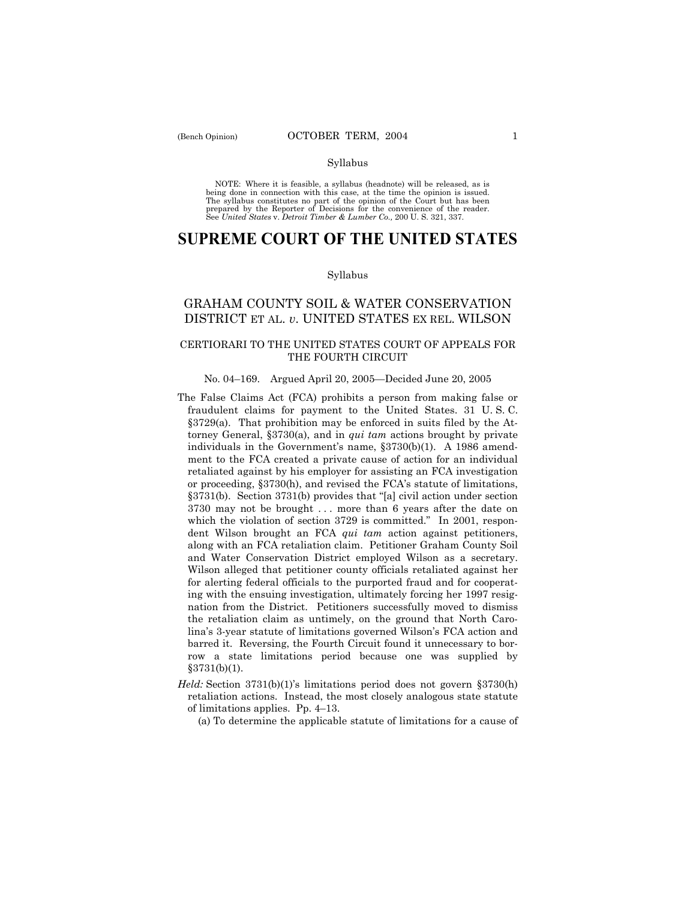#### Syllabus

NOTE: Where it is feasible, a syllabus (headnote) will be released, as is being done in connection with this case, at the time the opinion is issued. The syllabus constitutes no part of the opinion of the Court but has been<br>prepared by the Reporter of Decisions for the convenience of the reader.<br>See United States v. Detroit Timber & Lumber Co., 200 U. S. 321, 337.

# **SUPREME COURT OF THE UNITED STATES**

#### Syllabus

## GRAHAM COUNTY SOIL & WATER CONSERVATION DISTRICT ET AL. *v*. UNITED STATES EX REL. WILSON

### CERTIORARI TO THE UNITED STATES COURT OF APPEALS FOR THE FOURTH CIRCUIT

## No. 04-169. Argued April 20, 2005–Decided June 20, 2005

- The False Claims Act (FCA) prohibits a person from making false or fraudulent claims for payment to the United States. 31 U. S. C.  $§3729(a)$ . That prohibition may be enforced in suits filed by the Attorney General, ß3730(a), and in *qui tam* actions brought by private individuals in the Government's name, §3730(b)(1). A 1986 amendment to the FCA created a private cause of action for an individual retaliated against by his employer for assisting an FCA investigation or proceeding, ß3730(h), and revised the FCAís statute of limitations,  $§3731(b)$ . Section 3731(b) provides that "[a] civil action under section 3730 may not be brought . . . more than 6 years after the date on which the violation of section 3729 is committed." In 2001, respondent Wilson brought an FCA *qui tam* action against petitioners, along with an FCA retaliation claim. Petitioner Graham County Soil and Water Conservation District employed Wilson as a secretary. Wilson alleged that petitioner county officials retaliated against her for alerting federal officials to the purported fraud and for cooperating with the ensuing investigation, ultimately forcing her 1997 resignation from the District. Petitioners successfully moved to dismiss the retaliation claim as untimely, on the ground that North Carolina's 3-year statute of limitations governed Wilson's FCA action and barred it. Reversing, the Fourth Circuit found it unnecessary to borrow a state limitations period because one was supplied by  $§3731(b)(1).$
- *Held:* Section 3731(b)(1)'s limitations period does not govern §3730(h) retaliation actions. Instead, the most closely analogous state statute of limitations applies. Pp.  $4-13$ .

(a) To determine the applicable statute of limitations for a cause of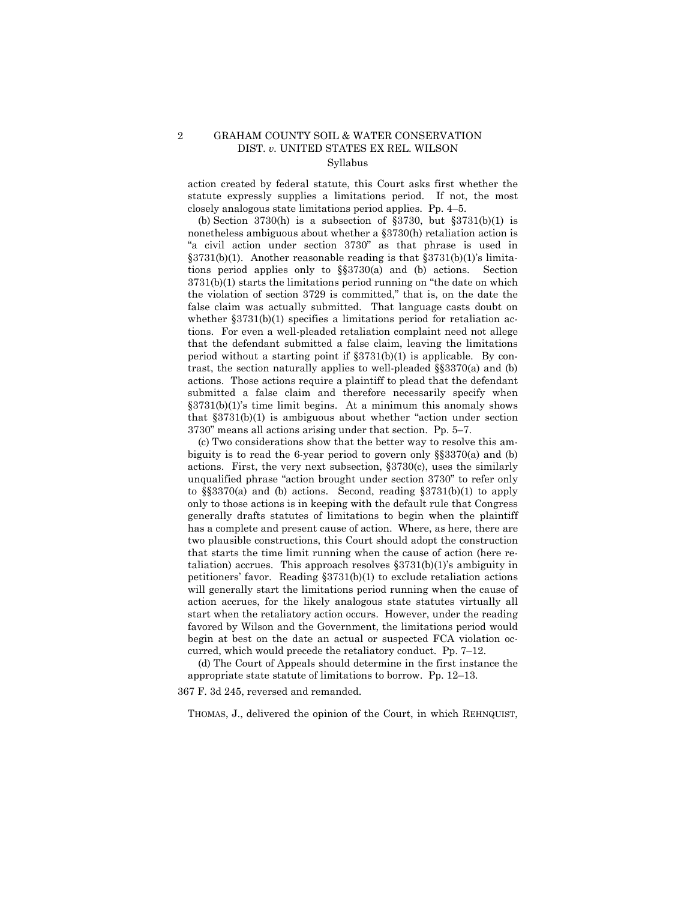#### 2 GRAHAM COUNTY SOIL & WATER CONSERVATION DIST. *v.* UNITED STATES EX REL. WILSON Syllabus

action created by federal statute, this Court asks first whether the statute expressly supplies a limitations period. If not, the most closely analogous state limitations period applies. Pp.  $4-5$ .

(b) Section 3730(h) is a subsection of  $\S 3730$ , but  $\S 3731(b)(1)$  is nonetheless ambiguous about whether a §3730(h) retaliation action is "a civil action under section 3730" as that phrase is used in  $\S 3731(b)(1)$ . Another reasonable reading is that  $\S 3731(b)(1)$ 's limitations period applies only to  $\S$  $3730(a)$  and (b) actions. Section  $3731(b)(1)$  starts the limitations period running on "the date on which the violation of section 3729 is committed," that is, on the date the false claim was actually submitted. That language casts doubt on whether §3731(b)(1) specifies a limitations period for retaliation actions. For even a well-pleaded retaliation complaint need not allege that the defendant submitted a false claim, leaving the limitations period without a starting point if  $\S 3731(b)(1)$  is applicable. By contrast, the section naturally applies to well-pleaded  $\S$  $3370$ (a) and (b) actions. Those actions require a plaintiff to plead that the defendant submitted a false claim and therefore necessarily specify when  $\S 3731(b)(1)$ 's time limit begins. At a minimum this anomaly shows that  $§3731(b)(1)$  is ambiguous about whether "action under section"  $3730$ " means all actions arising under that section. Pp.  $5-7$ .

 (c) Two considerations show that the better way to resolve this ambiguity is to read the 6-year period to govern only  $\S$  $3370(a)$  and (b) actions. First, the very next subsection, ß3730(c), uses the similarly unqualified phrase "action brought under section 3730" to refer only to  $\S$ \$3370(a) and (b) actions. Second, reading  $\S$ 3731(b)(1) to apply only to those actions is in keeping with the default rule that Congress generally drafts statutes of limitations to begin when the plaintiff has a complete and present cause of action. Where, as here, there are two plausible constructions, this Court should adopt the construction that starts the time limit running when the cause of action (here retaliation) accrues. This approach resolves  $\S 3731(b)(1)$ 's ambiguity in petitioners' favor. Reading  $$3731(b)(1)$  to exclude retaliation actions will generally start the limitations period running when the cause of action accrues, for the likely analogous state statutes virtually all start when the retaliatory action occurs. However, under the reading favored by Wilson and the Government, the limitations period would begin at best on the date an actual or suspected FCA violation occurred, which would precede the retaliatory conduct. Pp.  $7-12$ .

 (d) The Court of Appeals should determine in the first instance the appropriate state statute of limitations to borrow. Pp.  $12-13$ .

367 F. 3d 245, reversed and remanded.

THOMAS, J., delivered the opinion of the Court, in which REHNQUIST,